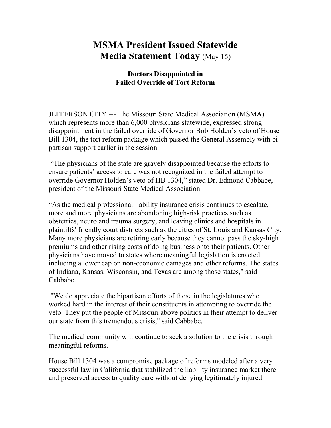## **MSMA President Issued Statewide Media Statement Today** (May 15)

## **Doctors Disappointed in Failed Override of Tort Reform**

JEFFERSON CITY --- The Missouri State Medical Association (MSMA) which represents more than 6,000 physicians statewide, expressed strong disappointment in the failed override of Governor Bob Holden's veto of House Bill 1304, the tort reform package which passed the General Assembly with bipartisan support earlier in the session.

 "The physicians of the state are gravely disappointed because the efforts to ensure patients' access to care was not recognized in the failed attempt to override Governor Holden's veto of HB 1304," stated Dr. Edmond Cabbabe, president of the Missouri State Medical Association.

"As the medical professional liability insurance crisis continues to escalate, more and more physicians are abandoning high-risk practices such as obstetrics, neuro and trauma surgery, and leaving clinics and hospitals in plaintiffs' friendly court districts such as the cities of St. Louis and Kansas City. Many more physicians are retiring early because they cannot pass the sky-high premiums and other rising costs of doing business onto their patients. Other physicians have moved to states where meaningful legislation is enacted including a lower cap on non-economic damages and other reforms. The states of Indiana, Kansas, Wisconsin, and Texas are among those states," said Cabbabe.

 "We do appreciate the bipartisan efforts of those in the legislatures who worked hard in the interest of their constituents in attempting to override the veto. They put the people of Missouri above politics in their attempt to deliver our state from this tremendous crisis," said Cabbabe.

The medical community will continue to seek a solution to the crisis through meaningful reforms.

House Bill 1304 was a compromise package of reforms modeled after a very successful law in California that stabilized the liability insurance market there and preserved access to quality care without denying legitimately injured